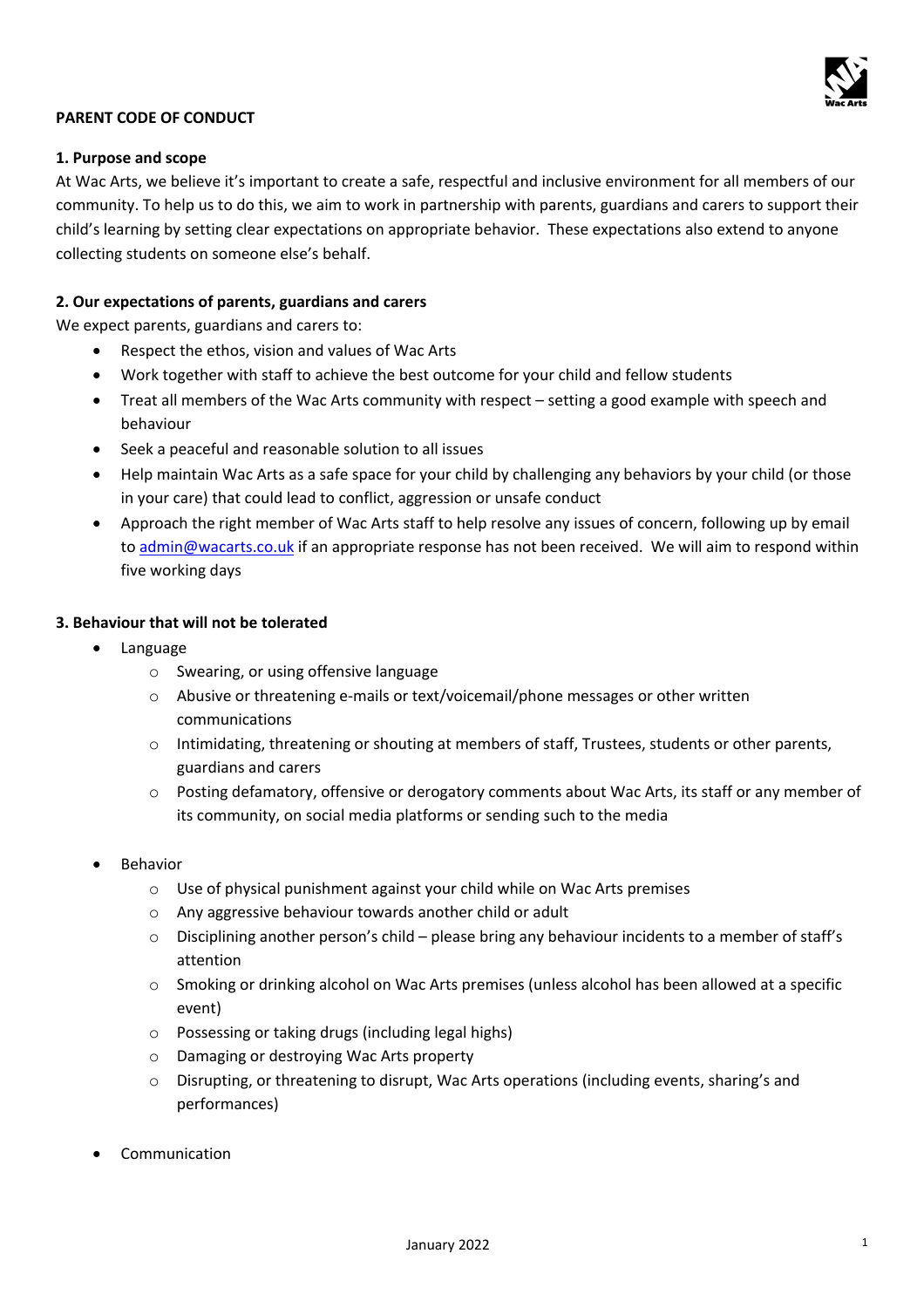

# **PARENT CODE OF CONDUCT**

### **1. Purpose and scope**

At Wac Arts, we believe it's important to create a safe, respectful and inclusive environment for all members of our community. To help us to do this, we aim to work in partnership with parents, guardians and carers to support their child's learning by setting clear expectations on appropriate behavior. These expectations also extend to anyone collecting students on someone else's behalf.

### **2. Our expectations of parents, guardians and carers**

We expect parents, guardians and carers to:

- Respect the ethos, vision and values of Wac Arts
- Work together with staff to achieve the best outcome for your child and fellow students
- Treat all members of the Wac Arts community with respect setting a good example with speech and behaviour
- Seek a peaceful and reasonable solution to all issues
- Help maintain Wac Arts as a safe space for your child by challenging any behaviors by your child (or those in your care) that could lead to conflict, aggression or unsafe conduct
- Approach the right member of Wac Arts staff to help resolve any issues of concern, following up by email to admin@wacarts.co.uk if an appropriate response has not been received. We will aim to respond within five working days

### **3. Behaviour that will not be tolerated**

- Language
	- o Swearing, or using offensive language
	- o Abusive or threatening e-mails or text/voicemail/phone messages or other written communications
	- o Intimidating, threatening or shouting at members of staff, Trustees, students or other parents, guardians and carers
	- $\circ$  Posting defamatory, offensive or derogatory comments about Wac Arts, its staff or any member of its community, on social media platforms or sending such to the media
- **Behavior** 
	- o Use of physical punishment against your child while on Wac Arts premises
	- o Any aggressive behaviour towards another child or adult
	- $\circ$  Disciplining another person's child please bring any behaviour incidents to a member of staff's attention
	- o Smoking or drinking alcohol on Wac Arts premises (unless alcohol has been allowed at a specific event)
	- o Possessing or taking drugs (including legal highs)
	- o Damaging or destroying Wac Arts property
	- $\circ$  Disrupting, or threatening to disrupt. Wac Arts operations (including events, sharing's and performances)
- **Communication**